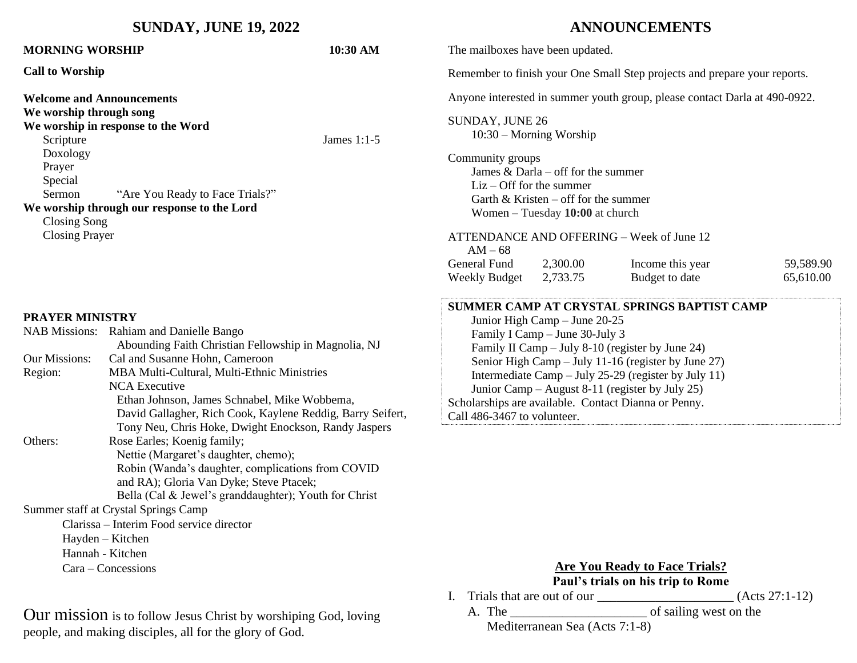| <b>SUNDAY, JUNE 19, 2022</b>                                                                                                                                                                                                                                                                                                                                                                                                         |                                                                                                                                                                                                                              |                                                                            | <b>ANNOUNCEMENTS</b>                                                                                                                                                                                                                                                                                                                                                                                                        |                                                                                                               |                                           |                        |
|--------------------------------------------------------------------------------------------------------------------------------------------------------------------------------------------------------------------------------------------------------------------------------------------------------------------------------------------------------------------------------------------------------------------------------------|------------------------------------------------------------------------------------------------------------------------------------------------------------------------------------------------------------------------------|----------------------------------------------------------------------------|-----------------------------------------------------------------------------------------------------------------------------------------------------------------------------------------------------------------------------------------------------------------------------------------------------------------------------------------------------------------------------------------------------------------------------|---------------------------------------------------------------------------------------------------------------|-------------------------------------------|------------------------|
| <b>MORNING WORSHIP</b>                                                                                                                                                                                                                                                                                                                                                                                                               |                                                                                                                                                                                                                              | 10:30 AM                                                                   | The mailboxes have been updated.                                                                                                                                                                                                                                                                                                                                                                                            |                                                                                                               |                                           |                        |
| <b>Call to Worship</b>                                                                                                                                                                                                                                                                                                                                                                                                               |                                                                                                                                                                                                                              | Remember to finish your One Small Step projects and prepare your reports.  |                                                                                                                                                                                                                                                                                                                                                                                                                             |                                                                                                               |                                           |                        |
| <b>Welcome and Announcements</b>                                                                                                                                                                                                                                                                                                                                                                                                     |                                                                                                                                                                                                                              | Anyone interested in summer youth group, please contact Darla at 490-0922. |                                                                                                                                                                                                                                                                                                                                                                                                                             |                                                                                                               |                                           |                        |
| We worship through song<br>Scripture                                                                                                                                                                                                                                                                                                                                                                                                 | We worship in response to the Word                                                                                                                                                                                           | James 1:1-5                                                                | SUNDAY, JUNE 26                                                                                                                                                                                                                                                                                                                                                                                                             | $10:30$ – Morning Worship                                                                                     |                                           |                        |
| Doxology<br>Prayer<br>Special<br>Sermon<br>"Are You Ready to Face Trials?"<br>We worship through our response to the Lord<br>Closing Song<br><b>Closing Prayer</b>                                                                                                                                                                                                                                                                   |                                                                                                                                                                                                                              |                                                                            | Community groups<br>$Liz - Off$ for the summer<br>$AM - 68$                                                                                                                                                                                                                                                                                                                                                                 | James & Darla – off for the summer<br>Garth & Kristen – off for the summer<br>Women - Tuesday 10:00 at church | ATTENDANCE AND OFFERING - Week of June 12 |                        |
|                                                                                                                                                                                                                                                                                                                                                                                                                                      |                                                                                                                                                                                                                              |                                                                            | <b>General Fund</b><br>Weekly Budget                                                                                                                                                                                                                                                                                                                                                                                        | 2,300.00<br>2,733.75                                                                                          | Income this year<br>Budget to date        | 59,589.90<br>65,610.00 |
| <b>PRAYER MINISTRY</b><br>NAB Missions: Rahiam and Danielle Bango<br>Abounding Faith Christian Fellowship in Magnolia, NJ<br>Our Missions:<br>Cal and Susanne Hohn, Cameroon<br>Region:<br>MBA Multi-Cultural, Multi-Ethnic Ministries<br><b>NCA Executive</b><br>Ethan Johnson, James Schnabel, Mike Wobbema,<br>David Gallagher, Rich Cook, Kaylene Reddig, Barry Seifert,<br>Tony Neu, Chris Hoke, Dwight Enockson, Randy Jaspers |                                                                                                                                                                                                                              |                                                                            | SUMMER CAMP AT CRYSTAL SPRINGS BAPTIST CAMP<br>Junior High Camp - June 20-25<br>Family I Camp - June 30-July 3<br>Family II Camp - July 8-10 (register by June 24)<br>Senior High Camp - July 11-16 (register by June 27)<br>Intermediate Camp - July 25-29 (register by July 11)<br>Junior Camp – August 8-11 (register by July 25)<br>Scholarships are available. Contact Dianna or Penny.<br>Call 486-3467 to volunteer. |                                                                                                               |                                           |                        |
| Others:                                                                                                                                                                                                                                                                                                                                                                                                                              | Rose Earles; Koenig family;<br>Nettie (Margaret's daughter, chemo);<br>Robin (Wanda's daughter, complications from COVID<br>and RA); Gloria Van Dyke; Steve Ptacek;<br>Bella (Cal & Jewel's granddaughter); Youth for Christ |                                                                            |                                                                                                                                                                                                                                                                                                                                                                                                                             |                                                                                                               |                                           |                        |
|                                                                                                                                                                                                                                                                                                                                                                                                                                      | Summer staff at Crystal Springs Camp                                                                                                                                                                                         |                                                                            |                                                                                                                                                                                                                                                                                                                                                                                                                             |                                                                                                               |                                           |                        |
| Clarissa – Interim Food service director                                                                                                                                                                                                                                                                                                                                                                                             |                                                                                                                                                                                                                              |                                                                            |                                                                                                                                                                                                                                                                                                                                                                                                                             |                                                                                                               |                                           |                        |
| Hayden - Kitchen<br>Hannah - Kitchen                                                                                                                                                                                                                                                                                                                                                                                                 |                                                                                                                                                                                                                              |                                                                            |                                                                                                                                                                                                                                                                                                                                                                                                                             |                                                                                                               |                                           |                        |
| Cara – Concessions                                                                                                                                                                                                                                                                                                                                                                                                                   |                                                                                                                                                                                                                              |                                                                            | <b>Are You Ready to Face Trials?</b><br>Daul's trials on his trin to Domo                                                                                                                                                                                                                                                                                                                                                   |                                                                                                               |                                           |                        |

Our mission is to follow Jesus Christ by worshiping God, loving people, and making disciples, all for the glory of God.

**Paul's trials on his trip to Rome**

I. Trials that are out of our  $\frac{1}{2}$  (Acts 27:1-12)

A. The \_\_\_\_\_\_\_\_\_\_\_\_\_\_\_\_\_\_\_\_\_ of sailing west on the Mediterranean Sea (Acts 7:1-8)